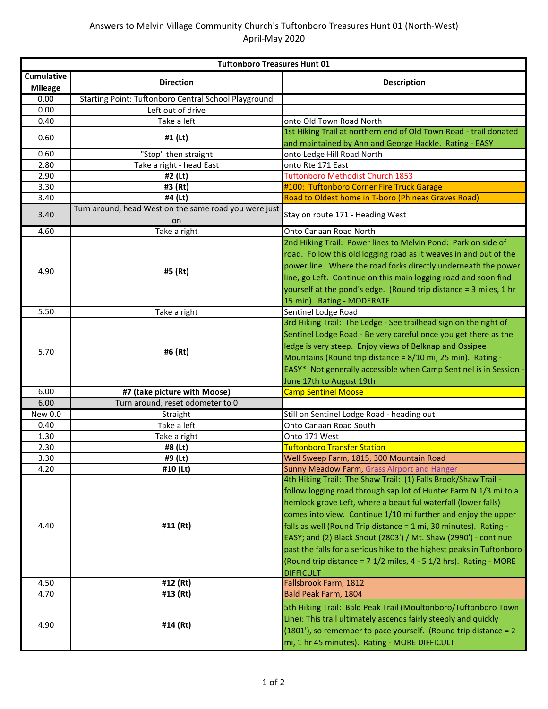| <b>Tuftonboro Treasures Hunt 01</b> |                                                             |                                                                      |
|-------------------------------------|-------------------------------------------------------------|----------------------------------------------------------------------|
| Cumulative                          | <b>Direction</b>                                            | <b>Description</b>                                                   |
| <b>Mileage</b>                      |                                                             |                                                                      |
| 0.00                                | Starting Point: Tuftonboro Central School Playground        |                                                                      |
| 0.00                                | Left out of drive                                           |                                                                      |
| 0.40                                | Take a left                                                 | onto Old Town Road North                                             |
| 0.60                                | #1 (Lt)                                                     | 1st Hiking Trail at northern end of Old Town Road - trail donated    |
|                                     |                                                             | and maintained by Ann and George Hackle. Rating - EASY               |
| 0.60                                | "Stop" then straight                                        | onto Ledge Hill Road North                                           |
| 2.80                                | Take a right - head East                                    | onto Rte 171 East                                                    |
| 2.90                                | #2 (Lt)                                                     | Tuftonboro Methodist Church 1853                                     |
| 3.30                                | #3 (Rt)                                                     | #100: Tuftonboro Corner Fire Truck Garage                            |
| 3.40                                | #4 (Lt)                                                     | Road to Oldest home in T-boro (Phineas Graves Road)                  |
| 3.40                                | Turn around, head West on the same road you were just<br>on | Stay on route 171 - Heading West                                     |
| 4.60                                | Take a right                                                | Onto Canaan Road North                                               |
|                                     |                                                             | 2nd Hiking Trail: Power lines to Melvin Pond: Park on side of        |
|                                     |                                                             | road. Follow this old logging road as it weaves in and out of the    |
| 4.90                                | #5 (Rt)                                                     | power line. Where the road forks directly underneath the power       |
|                                     |                                                             | line, go Left. Continue on this main logging road and soon find      |
|                                     |                                                             | yourself at the pond's edge. (Round trip distance = 3 miles, 1 hr    |
|                                     |                                                             | 15 min). Rating - MODERATE                                           |
| 5.50                                | Take a right                                                | Sentinel Lodge Road                                                  |
|                                     |                                                             | 3rd Hiking Trail: The Ledge - See trailhead sign on the right of     |
|                                     | #6 (Rt)                                                     | Sentinel Lodge Road - Be very careful once you get there as the      |
| 5.70                                |                                                             | ledge is very steep. Enjoy views of Belknap and Ossipee              |
|                                     |                                                             | Mountains (Round trip distance = 8/10 mi, 25 min). Rating -          |
|                                     |                                                             | EASY* Not generally accessible when Camp Sentinel is in Session -    |
|                                     |                                                             | June 17th to August 19th                                             |
| 6.00                                | #7 (take picture with Moose)                                | <b>Camp Sentinel Moose</b>                                           |
| 6.00                                | Turn around, reset odometer to 0                            |                                                                      |
| New 0.0                             | Straight                                                    | Still on Sentinel Lodge Road - heading out                           |
| 0.40                                | Take a left                                                 | Onto Canaan Road South                                               |
| 1.30                                | Take a right                                                | Onto 171 West                                                        |
| 2.30                                | #8 (Lt)                                                     | <b>Tuftonboro Transfer Station</b>                                   |
| 3.30                                | #9 (Lt)                                                     | Well Sweep Farm, 1815, 300 Mountain Road                             |
| 4.20                                | #10 (Lt)                                                    | Sunny Meadow Farm, Grass Airport and Hanger                          |
|                                     | #11 (Rt)                                                    | 4th Hiking Trail: The Shaw Trail: (1) Falls Brook/Shaw Trail -       |
|                                     |                                                             | follow logging road through sap lot of Hunter Farm N 1/3 mi to a     |
|                                     |                                                             | hemlock grove Left, where a beautiful waterfall (lower falls)        |
|                                     |                                                             | comes into view. Continue 1/10 mi further and enjoy the upper        |
| 4.40                                |                                                             | falls as well (Round Trip distance = 1 mi, 30 minutes). Rating -     |
|                                     |                                                             | EASY; and (2) Black Snout (2803') / Mt. Shaw (2990') - continue      |
|                                     |                                                             | past the falls for a serious hike to the highest peaks in Tuftonboro |
|                                     |                                                             | (Round trip distance = 7 1/2 miles, 4 - 5 1/2 hrs). Rating - MORE    |
|                                     |                                                             | <b>DIFFICULT</b>                                                     |
| 4.50                                | #12 (Rt)                                                    | Fallsbrook Farm, 1812                                                |
| 4.70                                | #13 (Rt)                                                    | Bald Peak Farm, 1804                                                 |
| 4.90                                | #14 (Rt)                                                    | 5th Hiking Trail: Bald Peak Trail (Moultonboro/Tuftonboro Town       |
|                                     |                                                             | Line): This trail ultimately ascends fairly steeply and quickly      |
|                                     |                                                             | (1801'), so remember to pace yourself. (Round trip distance = 2      |
|                                     |                                                             | mi, 1 hr 45 minutes). Rating - MORE DIFFICULT                        |